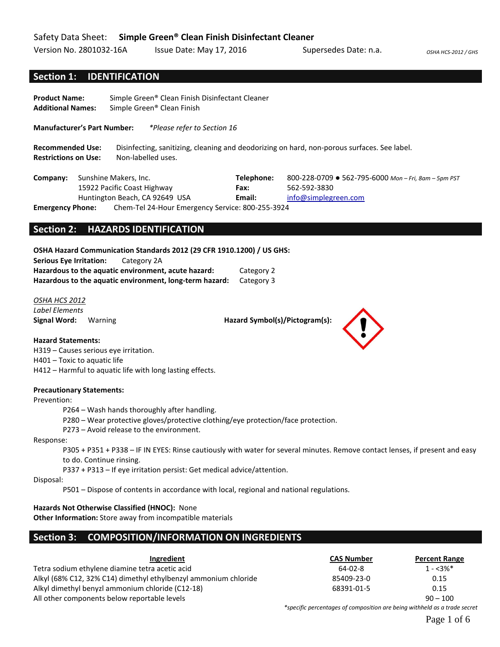## Safety Data Sheet: **Simple Green® Clean Finish Disinfectant Cleaner**

Version No. 2801032-16A Issue Date: May 17, 2016 Supersedes Date: n.a. *OSHA HCS-2012 / GHS* 

# **Section 1: IDENTIFICATION**

**Product Name:** Simple Green® Clean Finish Disinfectant Cleaner **Additional Names:** Simple Green® Clean Finish

**Manufacturer's Part Number:** *\*Please refer to Section 16*

**Recommended Use:** Disinfecting, sanitizing, cleaning and deodorizing on hard, non-porous surfaces. See label. **Restrictions on Use:** Non-labelled uses.

**Company:** Sunshine Makers, Inc. 15922 Pacific Coast Highway Huntington Beach, CA 92649 USA **Telephone:** 800-228-0709 ● 562-795-6000 *Mon – Fri, 8am – 5pm PST* **Fax:** 562-592-3830 **Email:** [info@simplegreen.com](mailto:info@simplegreen.com) **Emergency Phone:** Chem-Tel 24-Hour Emergency Service: 800-255-3924

**Section 2: HAZARDS IDENTIFICATION**

**OSHA Hazard Communication Standards 2012 (29 CFR 1910.1200) / US GHS: Serious Eye Irritation:** Category 2A **Hazardous to the aquatic environment, acute hazard:** Category 2 **Hazardous to the aquatic environment, long-term hazard:** Category 3

*OSHA HCS 2012 Label Elements*

**Signal Word:** Warning **Hazard Symbol(s)/Pictogram(s): Hazard Symbol(s)/Pictogram(s):** 

**Hazard Statements:**

H319 – Causes serious eye irritation.

H401 – Toxic to aquatic life

H412 – Harmful to aquatic life with long lasting effects.

### **Precautionary Statements:**

Prevention:

P264 – Wash hands thoroughly after handling.

P280 – Wear protective gloves/protective clothing/eye protection/face protection.

P273 – Avoid release to the environment.

### Response:

P305 + P351 + P338 – IF IN EYES: Rinse cautiously with water for several minutes. Remove contact lenses, if present and easy to do. Continue rinsing.

P337 + P313 – If eye irritation persist: Get medical advice/attention.

Disposal:

P501 – Dispose of contents in accordance with local, regional and national regulations.

**Hazards Not Otherwise Classified (HNOC):** None

**Other Information:** Store away from incompatible materials

## **Section 3: COMPOSITION/INFORMATION ON INGREDIENTS**

| Ingredient                                                      | <b>CAS Number</b>                                                         | <b>Percent Range</b> |
|-----------------------------------------------------------------|---------------------------------------------------------------------------|----------------------|
| Tetra sodium ethylene diamine tetra acetic acid                 | 64-02-8                                                                   | $1 - 3\%$ *          |
| Alkyl (68% C12, 32% C14) dimethyl ethylbenzyl ammonium chloride | 85409-23-0                                                                | 0.15                 |
| Alkyl dimethyl benyzl ammonium chloride (C12-18)                | 68391-01-5                                                                | 0.15                 |
| All other components below reportable levels                    |                                                                           | $90 - 100$           |
|                                                                 | *specific percentages of composition are being withheld as a trade secret |                      |

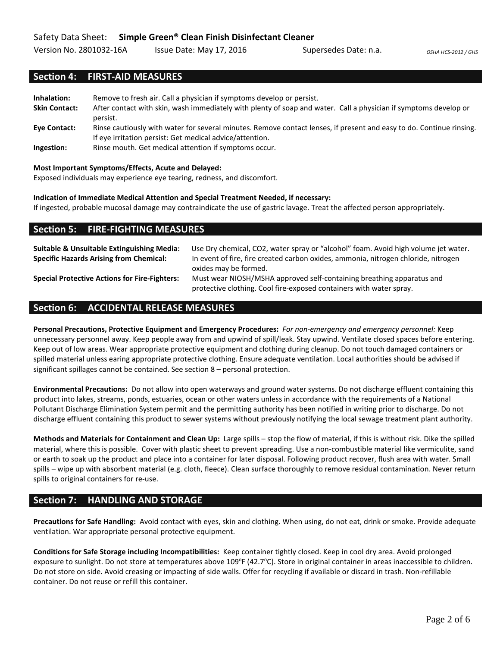Version No. 2801032-16A Issue Date: May 17, 2016 Supersedes Date: n.a. *OSHA HCS-2012 / GHS* 

## **Section 4: FIRST-AID MEASURES**

| Inhalation:<br><b>Skin Contact:</b> | Remove to fresh air. Call a physician if symptoms develop or persist.<br>After contact with skin, wash immediately with plenty of soap and water. Call a physician if symptoms develop or |
|-------------------------------------|-------------------------------------------------------------------------------------------------------------------------------------------------------------------------------------------|
| Eye Contact:                        | persist.<br>Rinse cautiously with water for several minutes. Remove contact lenses, if present and easy to do. Continue rinsing.                                                          |
| Ingestion:                          | If eye irritation persist: Get medical advice/attention.<br>Rinse mouth. Get medical attention if symptoms occur.                                                                         |

### **Most Important Symptoms/Effects, Acute and Delayed:**

Exposed individuals may experience eye tearing, redness, and discomfort.

### **Indication of Immediate Medical Attention and Special Treatment Needed, if necessary:**

If ingested, probable mucosal damage may contraindicate the use of gastric lavage. Treat the affected person appropriately.

| <b>Section 5: FIRE-FIGHTING MEASURES</b>                                                                |                                                                                                                                                                          |
|---------------------------------------------------------------------------------------------------------|--------------------------------------------------------------------------------------------------------------------------------------------------------------------------|
| <b>Suitable &amp; Unsuitable Extinguishing Media:</b><br><b>Specific Hazards Arising from Chemical:</b> | Use Dry chemical, CO2, water spray or "alcohol" foam. Avoid high volume jet water.<br>In event of fire, fire created carbon oxides, ammonia, nitrogen chloride, nitrogen |
| <b>Special Protective Actions for Fire-Fighters:</b>                                                    | oxides may be formed.<br>Must wear NIOSH/MSHA approved self-containing breathing apparatus and<br>protective clothing. Cool fire-exposed containers with water spray.    |

## **Section 6: ACCIDENTAL RELEASE MEASURES**

**Personal Precautions, Protective Equipment and Emergency Procedures:** *For non-emergency and emergency personnel:* Keep unnecessary personnel away. Keep people away from and upwind of spill/leak. Stay upwind. Ventilate closed spaces before entering. Keep out of low areas. Wear appropriate protective equipment and clothing during cleanup. Do not touch damaged containers or spilled material unless earing appropriate protective clothing. Ensure adequate ventilation. Local authorities should be advised if significant spillages cannot be contained. See section 8 – personal protection.

**Environmental Precautions:** Do not allow into open waterways and ground water systems. Do not discharge effluent containing this product into lakes, streams, ponds, estuaries, ocean or other waters unless in accordance with the requirements of a National Pollutant Discharge Elimination System permit and the permitting authority has been notified in writing prior to discharge. Do not discharge effluent containing this product to sewer systems without previously notifying the local sewage treatment plant authority.

**Methods and Materials for Containment and Clean Up:** Large spills – stop the flow of material, if this is without risk. Dike the spilled material, where this is possible. Cover with plastic sheet to prevent spreading. Use a non-combustible material like vermiculite, sand or earth to soak up the product and place into a container for later disposal. Following product recover, flush area with water. Small spills – wipe up with absorbent material (e.g. cloth, fleece). Clean surface thoroughly to remove residual contamination. Never return spills to original containers for re-use.

## **Section 7: HANDLING AND STORAGE**

**Precautions for Safe Handling:** Avoid contact with eyes, skin and clothing. When using, do not eat, drink or smoke. Provide adequate ventilation. War appropriate personal protective equipment.

**Conditions for Safe Storage including Incompatibilities:** Keep container tightly closed. Keep in cool dry area. Avoid prolonged exposure to sunlight. Do not store at temperatures above 109°F (42.7°C). Store in original container in areas inaccessible to children. Do not store on side. Avoid creasing or impacting of side walls. Offer for recycling if available or discard in trash. Non-refillable container. Do not reuse or refill this container.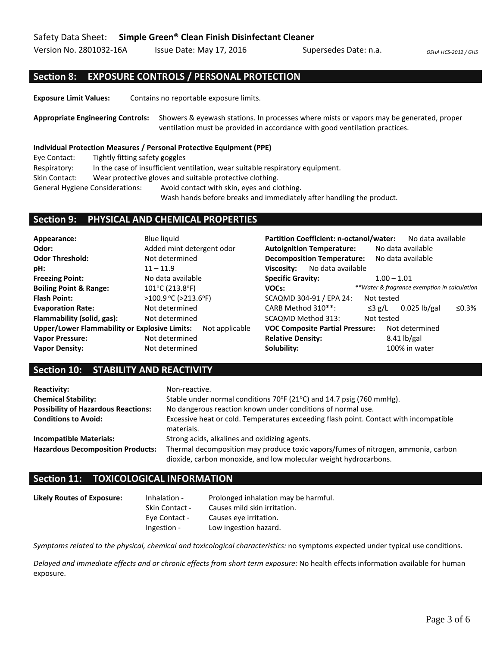Version No. 2801032-16A Issue Date: May 17, 2016 Supersedes Date: n.a. *OSHA HCS-2012 / GHS* 

## **Section 8: EXPOSURE CONTROLS / PERSONAL PROTECTION**

**Exposure Limit Values:** Contains no reportable exposure limits.

**Appropriate Engineering Controls:** Showers & eyewash stations. In processes where mists or vapors may be generated, proper ventilation must be provided in accordance with good ventilation practices.

### **Individual Protection Measures / Personal Protective Equipment (PPE)**

Eye Contact: Tightly fitting safety goggles

Respiratory: In the case of insufficient ventilation, wear suitable respiratory equipment.

Skin Contact: Wear protective gloves and suitable protective clothing.

General Hygiene Considerations: Avoid contact with skin, eyes and clothing.

Wash hands before breaks and immediately after handling the product.

### **Section 9: PHYSICAL AND CHEMICAL PROPERTIES**

| Appearance:                                          | Blue liquid                | <b>Partition Coefficient: n-octanol/water:</b>         | No data available                            |  |  |
|------------------------------------------------------|----------------------------|--------------------------------------------------------|----------------------------------------------|--|--|
| Odor:                                                | Added mint detergent odor  | <b>Autoignition Temperature:</b>                       | No data available                            |  |  |
| <b>Odor Threshold:</b>                               | Not determined             | <b>Decomposition Temperature:</b><br>No data available |                                              |  |  |
| pH:                                                  | $11 - 11.9$                | No data available<br>Viscosity:                        |                                              |  |  |
| <b>Freezing Point:</b>                               | No data available          | <b>Specific Gravity:</b>                               | $1.00 - 1.01$                                |  |  |
| <b>Boiling Point &amp; Range:</b>                    | 101°C (213.8°F)            | VOCs:                                                  | **Water & fragrance exemption in calculation |  |  |
| <b>Flash Point:</b>                                  | $>100.9$ °C ( $>213.6$ °F) | SCAQMD 304-91 / EPA 24:                                | Not tested                                   |  |  |
| <b>Evaporation Rate:</b>                             | Not determined             | CARB Method 310**:                                     | $0.025$ lb/gal<br>≤0.3%<br>$\leq$ 3 g/L      |  |  |
| Flammability (solid, gas):                           | Not determined             | SCAQMD Method 313:                                     | Not tested                                   |  |  |
| <b>Upper/Lower Flammability or Explosive Limits:</b> | Not applicable             | <b>VOC Composite Partial Pressure:</b>                 | Not determined                               |  |  |
| <b>Vapor Pressure:</b>                               | Not determined             | <b>Relative Density:</b>                               | $8.41$ lb/gal                                |  |  |
| <b>Vapor Density:</b>                                | Not determined             | Solubility:                                            | 100% in water                                |  |  |

### **Section 10: STABILITY AND REACTIVITY**

| <b>Reactivity:</b>                         | Non-reactive.                                                                                                                                         |
|--------------------------------------------|-------------------------------------------------------------------------------------------------------------------------------------------------------|
| <b>Chemical Stability:</b>                 | Stable under normal conditions 70°F (21°C) and 14.7 psig (760 mmHg).                                                                                  |
| <b>Possibility of Hazardous Reactions:</b> | No dangerous reaction known under conditions of normal use.                                                                                           |
| <b>Conditions to Avoid:</b>                | Excessive heat or cold. Temperatures exceeding flash point. Contact with incompatible<br>materials.                                                   |
| <b>Incompatible Materials:</b>             | Strong acids, alkalines and oxidizing agents.                                                                                                         |
| <b>Hazardous Decomposition Products:</b>   | Thermal decomposition may produce toxic vapors/fumes of nitrogen, ammonia, carbon<br>dioxide, carbon monoxide, and low molecular weight hydrocarbons. |

### **Section 11: TOXICOLOGICAL INFORMATION**

| <b>Likely Routes of Exposure:</b> | Inhalation -   | Prolonged inhalation may be harmful. |
|-----------------------------------|----------------|--------------------------------------|
|                                   | Skin Contact - | Causes mild skin irritation.         |
|                                   | Eye Contact -  | Causes eye irritation.               |
|                                   | Ingestion -    | Low ingestion hazard.                |

*Symptoms related to the physical, chemical and toxicological characteristics:* no symptoms expected under typical use conditions.

*Delayed and immediate effects and or chronic effects from short term exposure:* No health effects information available for human exposure.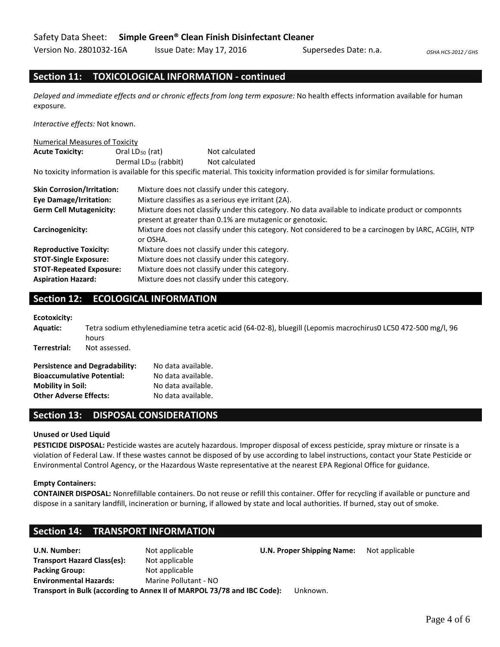Version No. 2801032-16A Issue Date: May 17, 2016 Supersedes Date: n.a. *OSHA HCS-2012 / GHS* 

## **Section 11: TOXICOLOGICAL INFORMATION - continued**

*Delayed and immediate effects and or chronic effects from long term exposure:* No health effects information available for human exposure.

*Interactive effects:* Not known.

#### Numerical Measures of Toxicity

| <b>Acute Toxicity:</b>            | Oral $LD_{50}$ (rat)             | Not calculated                                                                                                                                                |  |  |
|-----------------------------------|----------------------------------|---------------------------------------------------------------------------------------------------------------------------------------------------------------|--|--|
|                                   | Dermal LD <sub>50</sub> (rabbit) | Not calculated                                                                                                                                                |  |  |
|                                   |                                  | No toxicity information is available for this specific material. This toxicity information provided is for similar formulations.                              |  |  |
| <b>Skin Corrosion/Irritation:</b> |                                  | Mixture does not classify under this category.                                                                                                                |  |  |
| <b>Eve Damage/Irritation:</b>     |                                  | Mixture classifies as a serious eye irritant (2A).                                                                                                            |  |  |
| <b>Germ Cell Mutagenicity:</b>    |                                  | Mixture does not classify under this category. No data available to indicate product or componnts<br>present at greater than 0.1% are mutagenic or genotoxic. |  |  |
|                                   |                                  |                                                                                                                                                               |  |  |

**Carcinogenicity:** Mixture does not classify under this category. Not considered to be a carcinogen by IARC, ACGIH, NTP or OSHA.

| <b>Reproductive Toxicity:</b>  | Mixture does not classify under this category. |
|--------------------------------|------------------------------------------------|
| <b>STOT-Single Exposure:</b>   | Mixture does not classify under this category. |
| <b>STOT-Repeated Exposure:</b> | Mixture does not classify under this category. |
| <b>Aspiration Hazard:</b>      | Mixture does not classify under this category. |

## **Section 12: ECOLOGICAL INFORMATION**

**Ecotoxicity:**

| <b>Aquatic:</b>               | hours                                 | Tetra sodium ethylenediamine tetra acetic acid (64-02-8), bluegill (Lepomis macrochirus0 LC50 472-500 mg/l, 96 |
|-------------------------------|---------------------------------------|----------------------------------------------------------------------------------------------------------------|
| Terrestrial:                  | Not assessed.                         |                                                                                                                |
|                               | <b>Persistence and Degradability:</b> | No data available.                                                                                             |
|                               | <b>Bioaccumulative Potential:</b>     | No data available.                                                                                             |
| <b>Mobility in Soil:</b>      |                                       | No data available.                                                                                             |
| <b>Other Adverse Effects:</b> |                                       | No data available.                                                                                             |

### **Section 13: DISPOSAL CONSIDERATIONS**

### **Unused or Used Liquid**

**PESTICIDE DISPOSAL:** Pesticide wastes are acutely hazardous. Improper disposal of excess pesticide, spray mixture or rinsate is a violation of Federal Law. If these wastes cannot be disposed of by use according to label instructions, contact your State Pesticide or Environmental Control Agency, or the Hazardous Waste representative at the nearest EPA Regional Office for guidance.

### **Empty Containers:**

**CONTAINER DISPOSAL:** Nonrefillable containers. Do not reuse or refill this container. Offer for recycling if available or puncture and dispose in a sanitary landfill, incineration or burning, if allowed by state and local authorities. If burned, stay out of smoke.

### **Section 14: TRANSPORT INFORMATION**

**U.N. Number:** Not applicable **U.N. Proper Shipping Name:** Not applicable **Transport Hazard Class(es):** Not applicable **Packing Group:** Not applicable **Environmental Hazards:** Marine Pollutant - NO **Transport in Bulk (according to Annex II of MARPOL 73/78 and IBC Code):** Unknown.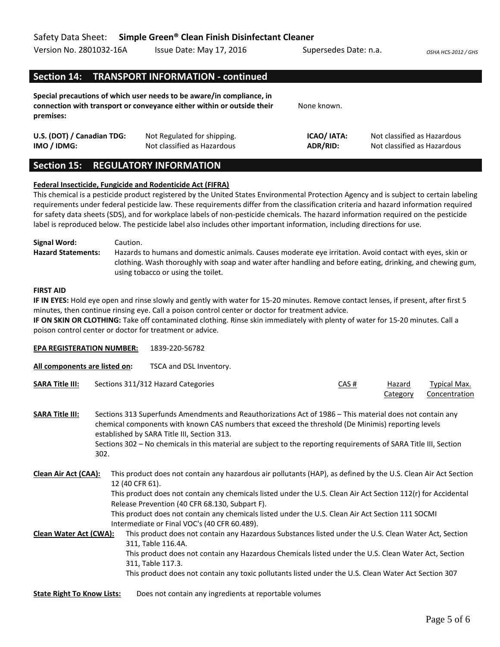| Version No. 2801032-16A                   | Issue Date: May 17, 2016                                                                                                                        | Supersedes Date: n.a.   | OSHA HCS-2012 / GHS                                        |
|-------------------------------------------|-------------------------------------------------------------------------------------------------------------------------------------------------|-------------------------|------------------------------------------------------------|
|                                           | Section 14: TRANSPORT INFORMATION - continued                                                                                                   |                         |                                                            |
| premises:                                 | Special precautions of which user needs to be aware/in compliance, in<br>connection with transport or conveyance either within or outside their | None known.             |                                                            |
| U.S. (DOT) / Canadian TDG:<br>IMO / IDMG: | Not Regulated for shipping.<br>Not classified as Hazardous                                                                                      | ICAO/ IATA:<br>ADR/RID: | Not classified as Hazardous<br>Not classified as Hazardous |

## **Section 15: REGULATORY INFORMATION**

### **Federal Insecticide, Fungicide and Rodenticide Act (FIFRA)**

This chemical is a pesticide product registered by the United States Environmental Protection Agency and is subject to certain labeling requirements under federal pesticide law. These requirements differ from the classification criteria and hazard information required for safety data sheets (SDS), and for workplace labels of non-pesticide chemicals. The hazard information required on the pesticide label is reproduced below. The pesticide label also includes other important information, including directions for use.

**Signal Word:** Caution. **Hazard Statements:** Hazards to humans and domestic animals. Causes moderate eye irritation. Avoid contact with eyes, skin or clothing. Wash thoroughly with soap and water after handling and before eating, drinking, and chewing gum, using tobacco or using the toilet.

### **FIRST AID**

**IF IN EYES:** Hold eye open and rinse slowly and gently with water for 15-20 minutes. Remove contact lenses, if present, after first 5 minutes, then continue rinsing eye. Call a poison control center or doctor for treatment advice.

**IF ON SKIN OR CLOTHING:** Take off contaminated clothing. Rinse skin immediately with plenty of water for 15-20 minutes. Call a poison control center or doctor for treatment or advice.

| <b>EPA REGISTERATION NUMBER:</b>                      |      |                 | 1839-220-56782                                                                                                                                                                                                                                                                                                                                                                                                                                                                                                                                                                                                                                                                                                                                                                                             |      |                    |                                      |
|-------------------------------------------------------|------|-----------------|------------------------------------------------------------------------------------------------------------------------------------------------------------------------------------------------------------------------------------------------------------------------------------------------------------------------------------------------------------------------------------------------------------------------------------------------------------------------------------------------------------------------------------------------------------------------------------------------------------------------------------------------------------------------------------------------------------------------------------------------------------------------------------------------------------|------|--------------------|--------------------------------------|
| All components are listed on:                         |      |                 | TSCA and DSL Inventory.                                                                                                                                                                                                                                                                                                                                                                                                                                                                                                                                                                                                                                                                                                                                                                                    |      |                    |                                      |
| <b>SARA Title III:</b>                                |      |                 | Sections 311/312 Hazard Categories                                                                                                                                                                                                                                                                                                                                                                                                                                                                                                                                                                                                                                                                                                                                                                         | CAS# | Hazard<br>Category | <b>Typical Max.</b><br>Concentration |
| <b>SARA Title III:</b>                                | 302. |                 | Sections 313 Superfunds Amendments and Reauthorizations Act of 1986 – This material does not contain any<br>chemical components with known CAS numbers that exceed the threshold (De Minimis) reporting levels<br>established by SARA Title III, Section 313.<br>Sections 302 - No chemicals in this material are subject to the reporting requirements of SARA Title III, Section                                                                                                                                                                                                                                                                                                                                                                                                                         |      |                    |                                      |
| Clean Air Act (CAA):<br><b>Clean Water Act (CWA):</b> |      | 12 (40 CFR 61). | This product does not contain any hazardous air pollutants (HAP), as defined by the U.S. Clean Air Act Section<br>This product does not contain any chemicals listed under the U.S. Clean Air Act Section 112(r) for Accidental<br>Release Prevention (40 CFR 68.130, Subpart F).<br>This product does not contain any chemicals listed under the U.S. Clean Air Act Section 111 SOCMI<br>Intermediate or Final VOC's (40 CFR 60.489).<br>This product does not contain any Hazardous Substances listed under the U.S. Clean Water Act, Section<br>311, Table 116.4A.<br>This product does not contain any Hazardous Chemicals listed under the U.S. Clean Water Act, Section<br>311, Table 117.3.<br>This product does not contain any toxic pollutants listed under the U.S. Clean Water Act Section 307 |      |                    |                                      |
| <b>State Right To Know Lists:</b>                     |      |                 | Does not contain any ingredients at reportable volumes                                                                                                                                                                                                                                                                                                                                                                                                                                                                                                                                                                                                                                                                                                                                                     |      |                    |                                      |